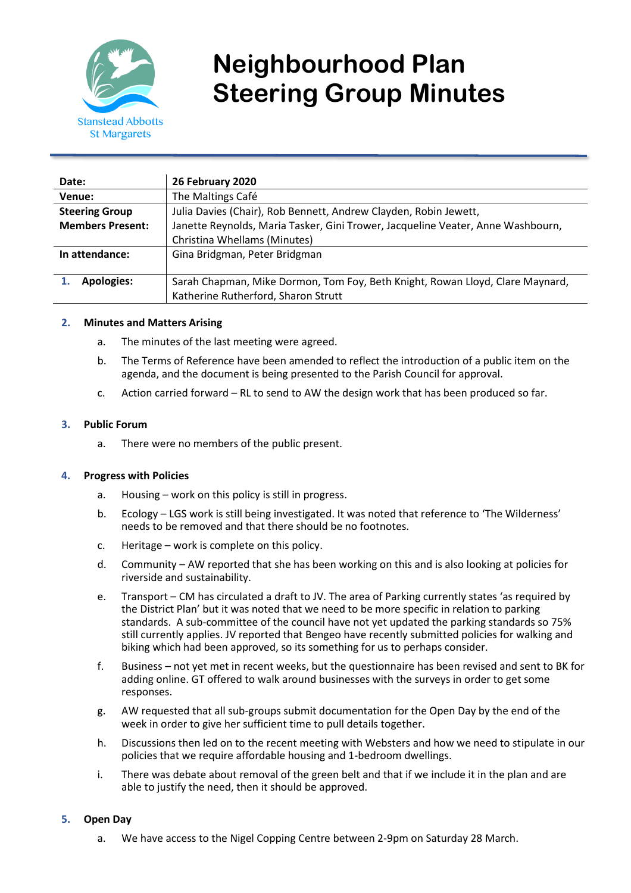

# **Neighbourhood Plan Steering Group Minutes**

| Date:                   | 26 February 2020                                                                |
|-------------------------|---------------------------------------------------------------------------------|
| Venue:                  | The Maltings Café                                                               |
| <b>Steering Group</b>   | Julia Davies (Chair), Rob Bennett, Andrew Clayden, Robin Jewett,                |
| <b>Members Present:</b> | Janette Reynolds, Maria Tasker, Gini Trower, Jacqueline Veater, Anne Washbourn, |
|                         | Christina Whellams (Minutes)                                                    |
| In attendance:          | Gina Bridgman, Peter Bridgman                                                   |
|                         |                                                                                 |
| <b>Apologies:</b>       | Sarah Chapman, Mike Dormon, Tom Foy, Beth Knight, Rowan Lloyd, Clare Maynard,   |
|                         | Katherine Rutherford, Sharon Strutt                                             |

## **2. Minutes and Matters Arising**

- a. The minutes of the last meeting were agreed.
- b. The Terms of Reference have been amended to reflect the introduction of a public item on the agenda, and the document is being presented to the Parish Council for approval.
- c. Action carried forward RL to send to AW the design work that has been produced so far.

## **3. Public Forum**

a. There were no members of the public present.

## **4. Progress with Policies**

- a. Housing work on this policy is still in progress.
- b. Ecology LGS work is still being investigated. It was noted that reference to 'The Wilderness' needs to be removed and that there should be no footnotes.
- c. Heritage work is complete on this policy.
- d. Community AW reported that she has been working on this and is also looking at policies for riverside and sustainability.
- e. Transport CM has circulated a draft to JV. The area of Parking currently states 'as required by the District Plan' but it was noted that we need to be more specific in relation to parking standards. A sub-committee of the council have not yet updated the parking standards so 75% still currently applies. JV reported that Bengeo have recently submitted policies for walking and biking which had been approved, so its something for us to perhaps consider.
- f. Business not yet met in recent weeks, but the questionnaire has been revised and sent to BK for adding online. GT offered to walk around businesses with the surveys in order to get some responses.
- g. AW requested that all sub-groups submit documentation for the Open Day by the end of the week in order to give her sufficient time to pull details together.
- h. Discussions then led on to the recent meeting with Websters and how we need to stipulate in our policies that we require affordable housing and 1-bedroom dwellings.
- i. There was debate about removal of the green belt and that if we include it in the plan and are able to justify the need, then it should be approved.

#### **5. Open Day**

a. We have access to the Nigel Copping Centre between 2-9pm on Saturday 28 March.